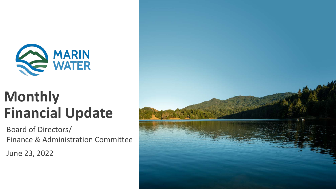

# **Monthly Financial Update**

Board of Directors/ Finance & Administration Committee

June 23, 2022

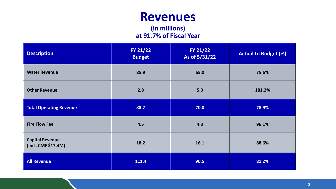### **Revenues**

#### **(in millions) at 91.7% of Fiscal Year**

| <b>Description</b>                            | FY 21/22<br><b>Budget</b> | FY 21/22<br>As of 5/31/22 | <b>Actual to Budget (%)</b> |
|-----------------------------------------------|---------------------------|---------------------------|-----------------------------|
| <b>Water Revenue</b>                          | 85.9                      | 65.0                      | 75.6%                       |
| <b>Other Revenue</b>                          | 2.8                       | 5.0                       | 181.2%                      |
| <b>Total Operating Revenue</b>                | 88.7                      | 70.0                      | 78.9%                       |
| <b>Fire Flow Fee</b><br>4.5                   |                           | 4.3                       | 96.1%                       |
| <b>Capital Revenue</b><br>(incl. CMF \$17.4M) | 18.2                      | 16.1                      | 88.6%                       |
| <b>All Revenue</b>                            | 111.4                     | 90.5                      | 81.2%                       |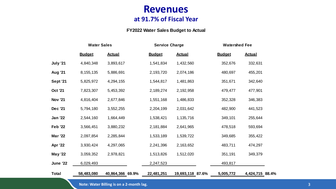#### **Revenues at 91.7% of Fiscal Year**

#### **FY2022 Water Sales Budget to Actual**

|                 | <b>Water Sales</b> |                  | <b>Service Charge</b> |                  | <b>Watershed Fee</b> |                 |  |
|-----------------|--------------------|------------------|-----------------------|------------------|----------------------|-----------------|--|
|                 | <b>Budget</b>      | <b>Actual</b>    | <b>Budget</b>         | <b>Actual</b>    | <b>Budget</b>        | <b>Actual</b>   |  |
| July '21        | 4,840,348          | 3,893,617        | 1,541,834             | 1,432,560        | 352,676              | 332,631         |  |
| <b>Aug '21</b>  | 8, 155, 135        | 5,886,691        | 2,193,720             | 2,074,186        | 480,697              | 455,201         |  |
| <b>Sept '21</b> | 5,825,972          | 4,294,155        | 1,544,817             | 1,481,863        | 351,671              | 342,640         |  |
| <b>Oct '21</b>  | 7,823,307          | 5,453,392        | 2,189,274             | 2,192,958        | 479,477              | 477,901         |  |
| <b>Nov '21</b>  | 4,816,404          | 2,677,846        | 1,551,168             | 1,486,833        | 352,328              | 346,383         |  |
| <b>Dec '21</b>  | 5,794,180          | 3,552,255        | 2,204,199             | 2,031,642        | 482,900              | 441,523         |  |
| <b>Jan '22</b>  | 2,544,160          | 1,664,449        | 1,538,421             | 1,135,716        | 349,101              | 255,644         |  |
| <b>Feb '22</b>  | 3,566,451          | 3,880,232        | 2,181,884             | 2,641,965        | 478,518              | 593,694         |  |
| <b>Mar '22</b>  | 2,097,854          | 2,285,844        | 1,533,189             | 1,539,722        | 349,685              | 355,422         |  |
| <b>Apr '22</b>  | 3,930,424          | 4,297,065        | 2,241,396             | 2,163,652        | 483,711              | 474,297         |  |
| <b>May '22</b>  | 3,059,352          | 2,978,821        | 1,513,826             | 1,512,020        | 351,191              | 349,379         |  |
| <b>June '22</b> | 6,029,493          |                  | 2,247,523             |                  | 493,817              |                 |  |
| <b>Total</b>    | 58,483,080         | 40,864,366 69.9% | 22,481,251            | 19,693,118 87.6% | 5,005,772            | 4,424,715 88.4% |  |

**Note: Water Billing is on a 2-month lag.**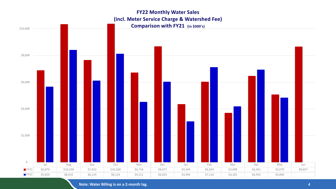#### **FY22 Monthly Water Sales (incl. Meter Service Charge & Watershed Fee) Comparison with FY21 (in \$000's)**



**Note: Water Billing is on a 2-month lag.**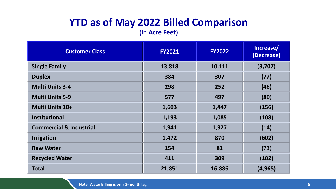### **YTD as of May 2022 Billed Comparison**

**(in Acre Feet)**

| <b>Customer Class</b>              | <b>FY2021</b> | <b>FY2022</b> | Increase/<br>(Decrease) |  |
|------------------------------------|---------------|---------------|-------------------------|--|
| <b>Single Family</b>               | 13,818        | 10,111        | (3,707)                 |  |
| <b>Duplex</b>                      | 384           | 307           | (77)                    |  |
| <b>Multi Units 3-4</b>             | 298           | 252           | (46)                    |  |
| <b>Multi Units 5-9</b>             | 577           | 497           | (80)                    |  |
| Multi Units 10+                    | 1,603         | 1,447         | (156)                   |  |
| <b>Institutional</b>               | 1,193         | 1,085         | (108)                   |  |
| <b>Commercial &amp; Industrial</b> | 1,941         | 1,927         | (14)                    |  |
| <b>Irrigation</b>                  | 870<br>1,472  |               | (602)                   |  |
| <b>Raw Water</b>                   | 154           | 81            | (73)                    |  |
| <b>Recycled Water</b>              | 411           | 309           | (102)                   |  |
| <b>Total</b>                       | 21,851        | 16,886        | (4, 965)                |  |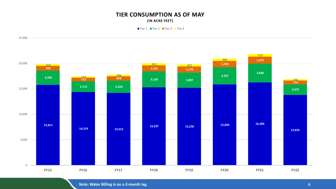#### **TIER CONSUMPTION AS OF MAY (IN ACRE FEET)**

■Tier 1 ■ Tier 2 ■ Tier 3 ■ Tier 4



**Note: Water Billing is on a 2-month lag.**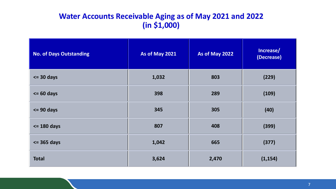#### **Water Accounts Receivable Aging as of May 2021 and 2022 (in \$1,000)**

| <b>No. of Days Outstanding</b> | As of May 2021 | As of May 2022 | Increase/<br>(Decrease) |
|--------------------------------|----------------|----------------|-------------------------|
| $\leq$ 30 days                 | 1,032          | 803            | (229)                   |
| $\leq$ 60 days                 | 398            | 289            | (109)                   |
| $\leq$ 90 days                 | 345            | 305            | (40)                    |
| $\le$ 180 days                 | 807            | 408            | (399)                   |
| $\leq$ 365 days                | 1,042          | 665            | (377)                   |
| <b>Total</b>                   | 3,624          | 2,470          | (1, 154)                |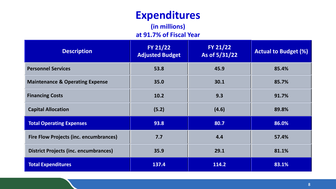## **Expenditures**

**(in millions) at 91.7% of Fiscal Year**

| <b>Description</b>                            | FY 21/22<br><b>Adjusted Budget</b> | FY 21/22<br>As of 5/31/22 | <b>Actual to Budget (%)</b> |
|-----------------------------------------------|------------------------------------|---------------------------|-----------------------------|
| <b>Personnel Services</b>                     | 53.8                               | 45.9                      | 85.4%                       |
| <b>Maintenance &amp; Operating Expense</b>    | 35.0                               | 30.1                      | 85.7%                       |
| <b>Financing Costs</b>                        | 10.2                               | 9.3                       | 91.7%                       |
| <b>Capital Allocation</b>                     | (5.2)                              | (4.6)                     | 89.8%                       |
| <b>Total Operating Expenses</b>               | 93.8                               | 80.7                      | 86.0%                       |
| <b>Fire Flow Projects (inc. encumbrances)</b> | 7.7                                | 4.4                       | 57.4%                       |
| District Projects (inc. encumbrances)         | 35.9                               | 29.1                      | 81.1%                       |
| <b>Total Expenditures</b>                     | 137.4                              | 114.2                     | 83.1%                       |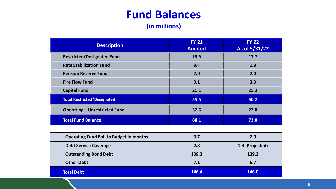## **Fund Balances**

**(in millions)**

| <b>Description</b>                   | <b>FY 21</b><br><b>Audited</b> | <b>FY 22</b><br>As of 5/31/22 |
|--------------------------------------|--------------------------------|-------------------------------|
| <b>Restricted/Designated Fund</b>    | 19.9                           | 17.7                          |
| <b>Rate Stabilization Fund</b>       | 9.4                            | 1.9                           |
| <b>Pension Reserve Fund</b>          | 2.0                            | 2.0                           |
| <b>Fire Flow Fund</b>                | 3.1                            | 3.3                           |
| <b>Capital Fund</b>                  | 21.1                           | 25.3                          |
| <b>Total Restricted/Designated</b>   | 55.5                           | 50.2                          |
| <b>Operating - Unrestricted Fund</b> | 32.6                           | 22.8                          |
| <b>Total Fund Balance</b>            | 88.1                           | 73.0                          |

| <b>Operating Fund Bal. to Budget in months</b> | 3.7   | 2.9             |
|------------------------------------------------|-------|-----------------|
| <b>Debt Service Coverage</b>                   | 2.8   | 1.4 (Projected) |
| <b>Outstanding Bond Debt</b>                   | 139.3 | 139.3           |
| <b>Other Debt</b>                              | 7.1   | 6.7             |
| <b>Total Debt</b>                              | 146.4 | 146.0           |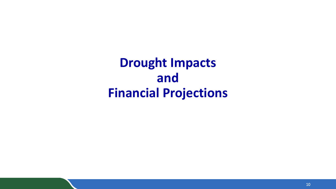**Drought Impacts and Financial Projections**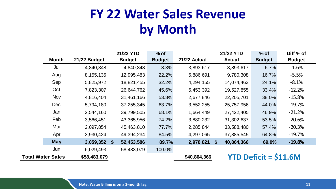# **FY 22 Water Sales Revenue by Month**

|                          |                | 21/22 YTD     | $%$ of        |              | 21/22 YTD                  | $%$ of                                    | Diff % of     |
|--------------------------|----------------|---------------|---------------|--------------|----------------------------|-------------------------------------------|---------------|
| <b>Month</b>             | 21/22 Budget   | <b>Budget</b> | <b>Budget</b> | 21/22 Actual | <b>Actual</b>              | <b>Budget</b>                             | <b>Budget</b> |
| Jul                      | 4,840,348      | 4,840,348     | 8.3%          | 3,893,617    | 3,893,617                  | 6.7%                                      | $-1.6%$       |
| Aug                      | 8, 155, 135    | 12,995,483    | 22.2%         | 5,886,691    | 9,780,308                  | 16.7%                                     | $-5.5%$       |
| Sep                      | 5,825,972      | 18,821,455    | 32.2%         | 4,294,155    | 14,074,463                 | 24.1%                                     | $-8.1%$       |
| Oct                      | 7,823,307      | 26,644,762    | 45.6%         | 5,453,392    | 19,527,855                 | 33.4%                                     | $-12.2%$      |
| <b>Nov</b>               | 4,816,404      | 31,461,166    | 53.8%         | 2,677,846    | 22, 205, 701               | 38.0%                                     | $-15.8%$      |
| <b>Dec</b>               | 5,794,180      | 37,255,345    | 63.7%         | 3,552,255    | 25,757,956                 | 44.0%                                     | $-19.7%$      |
| Jan                      | 2,544,160      | 39,799,505    | 68.1%         | 1,664,449    | 27,422,405                 | 46.9%                                     | $-21.2%$      |
| Feb                      | 3,566,451      | 43,365,956    | 74.2%         | 3,880,232    | 31,302,637                 | 53.5%                                     | $-20.6%$      |
| Mar                      | 2,097,854      | 45,463,810    | 77.7%         | 2,285,844    | 33,588,480                 | 57.4%                                     | $-20.3%$      |
| Apr                      | 3,930,424      | 49,394,234    | 84.5%         | 4,297,065    | 37,885,545                 | 64.8%                                     | $-19.7%$      |
| <b>May</b>               | $3,059,352$ \$ | 52,453,586    | 89.7%         | 2,978,821    | $\mathbf{s}$<br>40,864,366 | 69.9%                                     | $-19.8%$      |
| Jun                      | 6,029,493      | 58,483,079    | 100.0%        |              |                            |                                           |               |
| <b>Total Water Sales</b> | \$58,483,079   |               |               | \$40,864,366 |                            | <b>YTD Deficit = <math>\$11.6M</math></b> |               |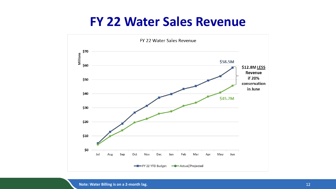## **FY 22 Water Sales Revenue**

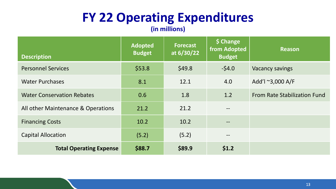# **FY 22 Operating Expenditures**

**(in millions)**

| <b>Description</b>                 | <b>Adopted</b><br><b>Budget</b> | <b>Forecast</b><br>at 6/30/22 | \$ Change<br>from Adopted<br><b>Budget</b> | <b>Reason</b>                |
|------------------------------------|---------------------------------|-------------------------------|--------------------------------------------|------------------------------|
| <b>Personnel Services</b>          | \$53.8                          | \$49.8                        | $-54.0$                                    | <b>Vacancy savings</b>       |
| <b>Water Purchases</b>             | 8.1                             | 12.1                          | 4.0                                        | Add'l ~3,000 A/F             |
| <b>Water Conservation Rebates</b>  | 0.6                             | 1.8                           | 1.2                                        | From Rate Stabilization Fund |
| All other Maintenance & Operations | 21.2                            | 21.2                          | $\overline{\phantom{m}}$                   |                              |
| <b>Financing Costs</b>             | 10.2                            | 10.2                          | $\qquad \qquad -$                          |                              |
| <b>Capital Allocation</b>          | (5.2)                           | (5.2)                         | $\overline{\phantom{m}}$                   |                              |
| <b>Total Operating Expense</b>     | \$88.7                          | \$89.9                        | \$1.2                                      |                              |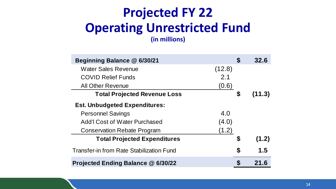### **Projected FY 22 Operating Unrestricted Fund (in millions)**

**Beginning Balance @ 6/30/21 \$ 32.6** Water Sales Revenue (12.8) COVID Relief Funds 2.1 All Other Revenue (0.6) **Total Projected Revenue Loss \$ (11.3) Est. Unbudgeted Expenditures:** Personnel Savings 4.0 Add'l Cost of Water Purchased (4.0) Conservation Rebate Program (1.2) **Total Projected Expenditures \$ (1.2)** Transfer-in from Rate Stabilization Fund **\$ 1.5 Projected Ending Balance @ 6/30/22 \$ 21.6**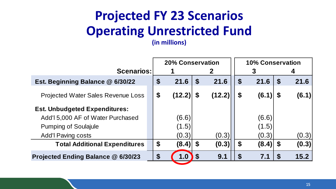# **Projected FY 23 Scenarios Operating Unrestricted Fund**

**(in millions)**

|                                           | <b>20% Conservation</b>   |        |                            |              | <b>10% Conservation</b>   |       |                           |       |
|-------------------------------------------|---------------------------|--------|----------------------------|--------------|---------------------------|-------|---------------------------|-------|
| <b>Scenarios:</b>                         |                           |        |                            | $\mathbf{2}$ |                           | 3     |                           | 4     |
| Est. Beginning Balance @ 6/30/22          | $\boldsymbol{\mathsf{S}}$ | 21.6   | $\boldsymbol{\mathsf{S}}$  | 21.6         | $\boldsymbol{\mathsf{S}}$ | 21.6  | $\boldsymbol{\mathsf{S}}$ | 21.6  |
| <b>Projected Water Sales Revenue Loss</b> | $\boldsymbol{\$}$         | (12.2) | $\mathbf S$                | (12.2)       | $\boldsymbol{\mathsf{S}}$ | (6.1) | <b>S</b>                  | (6.1) |
| <b>Est. Unbudgeted Expenditures:</b>      |                           |        |                            |              |                           |       |                           |       |
| Add'l 5,000 AF of Water Purchased         |                           | (6.6)  |                            |              |                           | (6.6) |                           |       |
| <b>Pumping of Soulajule</b>               |                           | (1.5)  |                            |              |                           | (1.5) |                           |       |
| <b>Add'l Paving costs</b>                 |                           | (0.3)  |                            | (0.3)        |                           | (0.3) |                           | (0.3) |
| <b>Total Additional Expenditures</b>      | $\boldsymbol{\theta}$     | (8.4)  | $\mathbf{S}$               | (0.3)        | $\boldsymbol{\mathsf{S}}$ | (8.4) | - \$                      | (0.3) |
| Projected Ending Balance @ 6/30/23        |                           | 1.0    | $\boldsymbol{\mathcal{F}}$ | 9.1          | $\boldsymbol{3}$          | 7.1   | <b>S</b>                  | 15.2  |